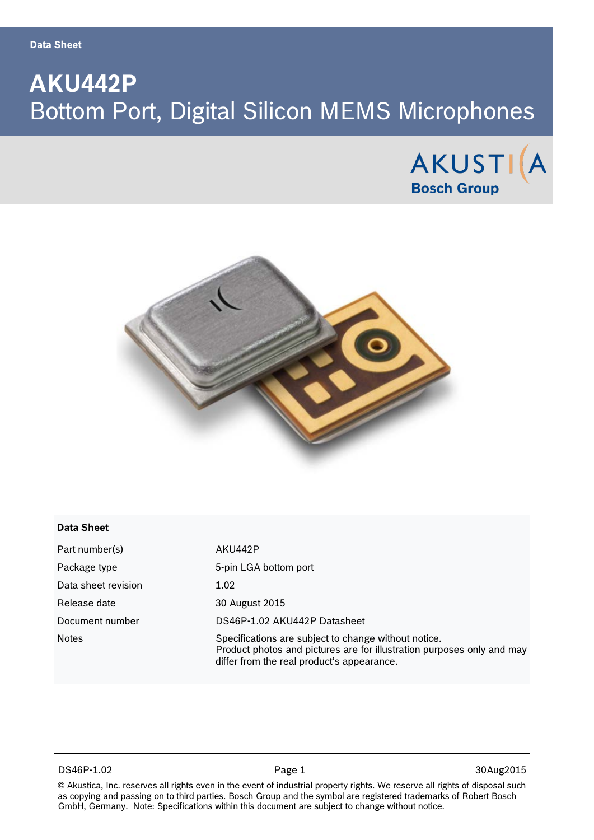**Data Sheet**

# **AKU442P** Bottom Port, Digital Silicon MEMS Microphones





#### **Data Sheet**

| Part number(s)      | AKU442P                                                                                                                                                                      |
|---------------------|------------------------------------------------------------------------------------------------------------------------------------------------------------------------------|
| Package type        | 5-pin LGA bottom port                                                                                                                                                        |
| Data sheet revision | 1.02                                                                                                                                                                         |
| Release date        | 30 August 2015                                                                                                                                                               |
| Document number     | DS46P-1.02 AKU442P Datasheet                                                                                                                                                 |
| <b>Notes</b>        | Specifications are subject to change without notice.<br>Product photos and pictures are for illustration purposes only and may<br>differ from the real product's appearance. |

#### DS46P-1.02 Page 1 30Aug2015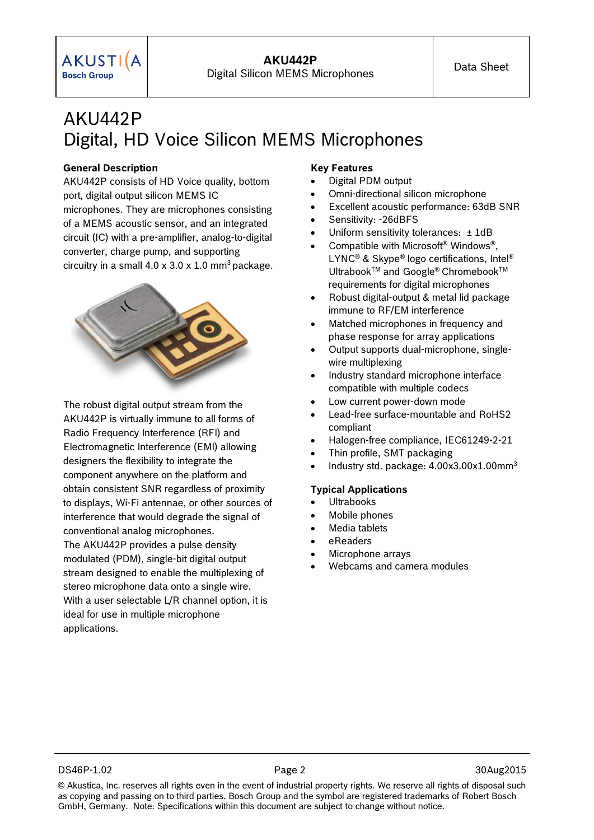## AKU442P Digital, HD Voice Silicon MEMS Microphones

**AKU442P**

#### **General Description**

AKU442P consists of HD Voice quality, bottom port, digital output silicon MEMS IC microphones. They are microphones consisting of a MEMS acoustic sensor, and an integrated circuit (IC) with a pre-amplifier, analog-to-digital converter, charge pump, and supporting circuitry in a small  $4.0 \times 3.0 \times 1.0 \text{ mm}^3$  package.



The robust digital output stream from the AKU442P is virtually immune to all forms of Radio Frequency Interference (RFI) and Electromagnetic Interference (EMI) allowing designers the flexibility to integrate the component anywhere on the platform and obtain consistent SNR regardless of proximity to displays, Wi-Fi antennae, or other sources of interference that would degrade the signal of conventional analog microphones. The AKU442P provides a pulse density modulated (PDM), single-bit digital output stream designed to enable the multiplexing of stereo microphone data onto a single wire. With a user selectable L/R channel option, it is ideal for use in multiple microphone applications.

#### **Key Features**

- Digital PDM output
- Omni-directional silicon microphone
- Excellent acoustic performance: 63dB SNR
- Sensitivity: -26dBFS
- Uniform sensitivity tolerances: ± 1dB
- Compatible with Microsoft® Windows®, LYNC<sup>®</sup> & Skype® logo certifications, Intel<sup>®</sup> Ultrabook™ and Google® Chromebook™ requirements for digital microphones
- Robust digital-output & metal lid package immune to RF/EM interference
- Matched microphones in frequency and phase response for array applications
- Output supports dual-microphone, singlewire multiplexing
- Industry standard microphone interface compatible with multiple codecs
- Low current power-down mode
- Lead-free surface-mountable and RoHS2 compliant
- Halogen-free compliance, IEC61249-2-21
- Thin profile, SMT packaging
- Industry std. package: 4.00x3.00x1.00mm3

#### **Typical Applications**

- **Ultrabooks**
- Mobile phones
- Media tablets
- eReaders
- Microphone arrays
- Webcams and camera modules

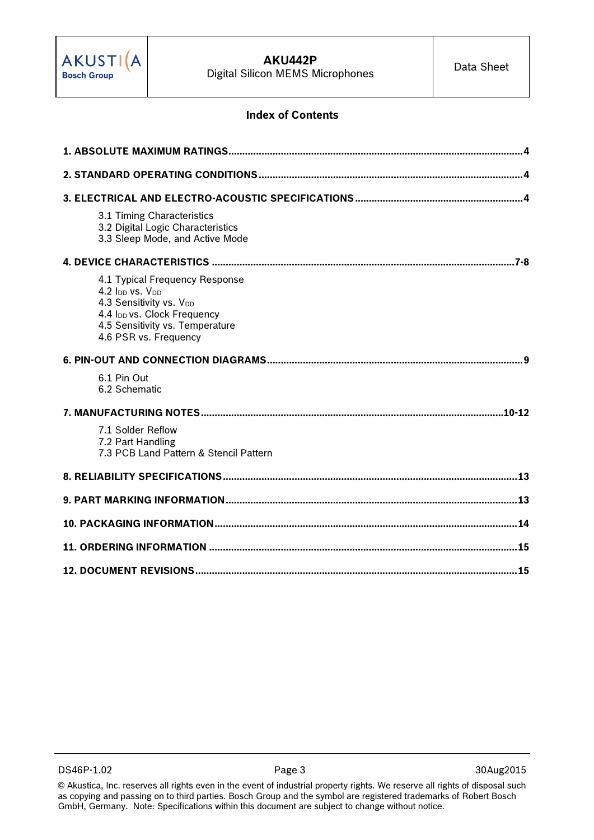

#### **Index of Contents**

| 3.1 Timing Characteristics<br>3.2 Digital Logic Characteristics<br>3.3 Sleep Mode, and Active Mode                                                                                              |
|-------------------------------------------------------------------------------------------------------------------------------------------------------------------------------------------------|
|                                                                                                                                                                                                 |
| 4.1 Typical Frequency Response<br>4.2 Ipp vs. V <sub>DD</sub><br>4.3 Sensitivity vs. VDD<br>4.4 I <sub>DD</sub> vs. Clock Frequency<br>4.5 Sensitivity vs. Temperature<br>4.6 PSR vs. Frequency |
|                                                                                                                                                                                                 |
| 6.1 Pin Out<br>6.2 Schematic                                                                                                                                                                    |
|                                                                                                                                                                                                 |
| 7.1 Solder Reflow<br>7.2 Part Handling<br>7.3 PCB Land Pattern & Stencil Pattern                                                                                                                |
|                                                                                                                                                                                                 |
|                                                                                                                                                                                                 |
|                                                                                                                                                                                                 |
|                                                                                                                                                                                                 |
|                                                                                                                                                                                                 |

DS46P-1.02 Page 3 30Aug2015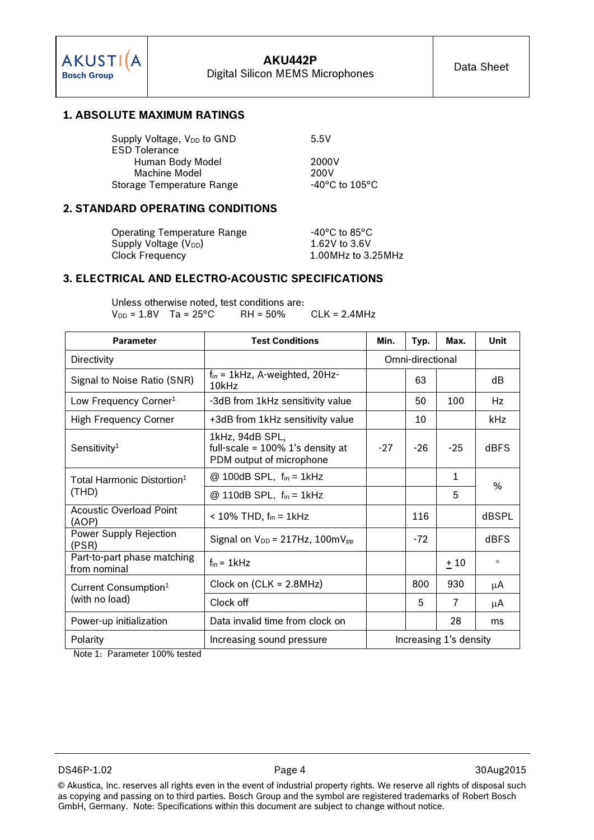#### **1. ABSOLUTE MAXIMUM RATINGS**

| Supply Voltage, V <sub>DD</sub> to GND | 5.5V                                |
|----------------------------------------|-------------------------------------|
| <b>ESD Tolerance</b>                   |                                     |
| Human Body Model                       | 2000V                               |
| Machine Model                          | 200V                                |
| Storage Temperature Range              | $-40^{\circ}$ C to 105 $^{\circ}$ C |

#### **2. STANDARD OPERATING CONDITIONS**

Operating Temperature Range 40°C to 85°C Supply Voltage  $(V_{DD})$  1.62V to 3.6V Clock Frequency 1.00MHz to 3.25MHz

#### **3. ELECTRICAL AND ELECTRO-ACOUSTIC SPECIFICATIONS**

Unless otherwise noted, test conditions are:<br> $V_{DD} = 1.8V$  Ta = 25°C RH = 50%  $V_{DD} = 1.8V$  Ta = 25°C RH = 50% CLK = 2.4MHz

| <b>Parameter</b>                            | <b>Test Conditions</b>                                                          | Min.                   | Typ.             | Max.  | <b>Unit</b> |  |
|---------------------------------------------|---------------------------------------------------------------------------------|------------------------|------------------|-------|-------------|--|
| Directivity                                 |                                                                                 |                        | Omni-directional |       |             |  |
| Signal to Noise Ratio (SNR)                 | $f_{in}$ = 1kHz, A-weighted, 20Hz-<br>10kHz                                     |                        | 63               |       | dB          |  |
| Low Frequency Corner <sup>1</sup>           | -3dB from 1kHz sensitivity value                                                |                        | 50               | 100   | Hz          |  |
| <b>High Frequency Corner</b>                | +3dB from 1kHz sensitivity value                                                |                        | 10               |       | kHz         |  |
| Sensitivity <sup>1</sup>                    | 1kHz, 94dB SPL,<br>full-scale = 100% 1's density at<br>PDM output of microphone | $-27$                  | $-26$            | $-25$ | <b>dBFS</b> |  |
| Total Harmonic Distortion $^1$              | $@$ 100dB SPL, $f_{in} = 1$ kHz                                                 |                        |                  | 1     | $\%$        |  |
| (THD)                                       | $@ 110dB$ SPL, $f_{in} = 1kHz$                                                  |                        |                  | 5     |             |  |
| Acoustic Overload Point<br>(AOP)            | $<$ 10% THD, $f_{\text{in}}$ = 1kHz                                             |                        | 116              |       | dBSPL       |  |
| Power Supply Rejection<br>(PSR)             | Signal on $V_{DD} = 217Hz$ , 100m $V_{pp}$                                      |                        | $-72$            |       | <b>dBFS</b> |  |
| Part-to-part phase matching<br>from nominal | $f_{\text{in}} = 1$ kHz                                                         |                        |                  | $+10$ | $\circ$     |  |
| Current Consumption <sup>1</sup>            | Clock on $(CLK = 2.8MHz)$                                                       |                        | 800              | 930   | μA          |  |
| (with no load)                              | Clock off                                                                       |                        | 5                | 7     | μA          |  |
| Power-up initialization                     | Data invalid time from clock on                                                 |                        |                  | 28    | ms          |  |
| Polarity                                    | Increasing sound pressure                                                       | Increasing 1's density |                  |       |             |  |

Note 1: Parameter 100% tested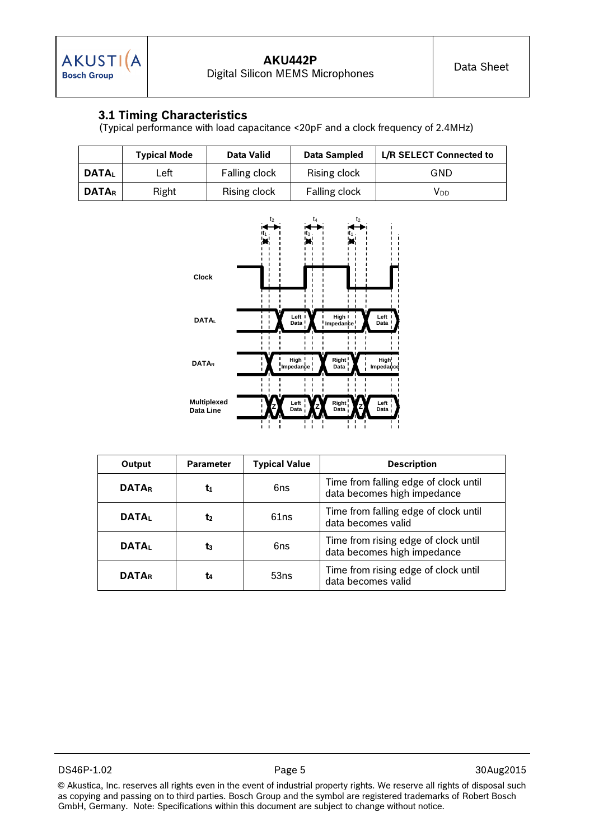## **3.1 Timing Characteristics**

(Typical performance with load capacitance <20pF and a clock frequency of 2.4MHz)

|              | <b>Typical Mode</b> | Data Valid    | Data Sampled         | L/R SELECT Connected to |
|--------------|---------------------|---------------|----------------------|-------------------------|
| <b>DATAL</b> | ∟eft                | Falling clock | Rising clock         | GND                     |
| <b>DATAR</b> | Right               | Rising clock  | <b>Falling clock</b> | VDD                     |



| Output       | <b>Parameter</b> | <b>Typical Value</b> | <b>Description</b>                                                   |
|--------------|------------------|----------------------|----------------------------------------------------------------------|
| <b>DATAR</b> | t1               | 6ns                  | Time from falling edge of clock until<br>data becomes high impedance |
| <b>DATAL</b> | t                | 61ns                 | Time from falling edge of clock until<br>data becomes valid          |
| <b>DATAL</b> | t3               | 6ns                  | Time from rising edge of clock until<br>data becomes high impedance  |
| <b>DATAR</b> | t4               | 53ns                 | Time from rising edge of clock until<br>data becomes valid           |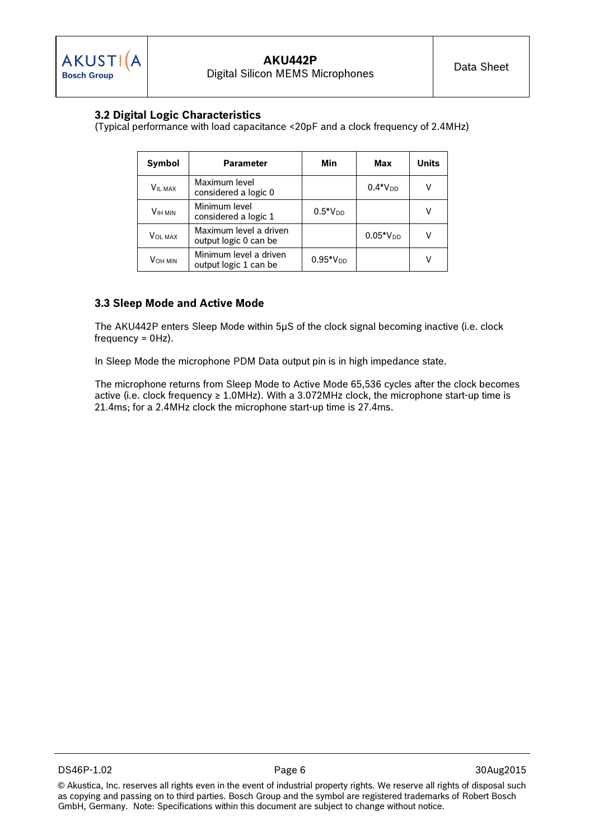### **3.2 Digital Logic Characteristics**

(Typical performance with load capacitance <20pF and a clock frequency of 2.4MHz)

| Symbol<br><b>Parameter</b> |                                                 | Min           | <b>Max</b> | <b>Units</b> |
|----------------------------|-------------------------------------------------|---------------|------------|--------------|
| <b>VIL MAX</b>             | Maximum level<br>considered a logic 0           |               | $0.4*VDD$  |              |
| <b>VIH MIN</b>             | Minimum level<br>considered a logic 1           | $0.5*VDD$     |            |              |
| <b>VOL MAX</b>             | Maximum level a driven<br>output logic 0 can be |               | $0.05*VDD$ |              |
| VOH MIN                    | Minimum level a driven<br>output logic 1 can be | $0.95*V_{DD}$ |            |              |

#### **3.3 Sleep Mode and Active Mode**

The AKU442P enters Sleep Mode within 5µS of the clock signal becoming inactive (i.e. clock frequency = 0Hz).

In Sleep Mode the microphone PDM Data output pin is in high impedance state.

The microphone returns from Sleep Mode to Active Mode 65,536 cycles after the clock becomes active (i.e. clock frequency  $\geq 1.0$ MHz). With a 3.072MHz clock, the microphone start-up time is 21.4ms; for a 2.4MHz clock the microphone start-up time is 27.4ms.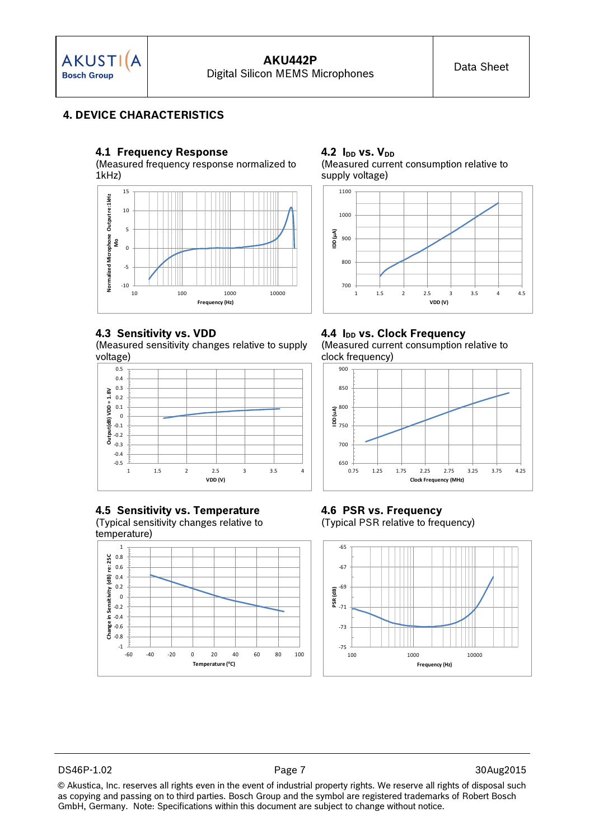

## **4. DEVICE CHARACTERISTICS**

#### **4.1 Frequency Response**

(Measured frequency response normalized to 1kHz)



#### **4.3 Sensitivity vs. VDD**

(Measured sensitivity changes relative to supply voltage)



#### **4.5 Sensitivity vs. Temperature** (Typical sensitivity changes relative to

temperature)







#### **4.4 IDD vs. Clock Frequency** (Measured current consumption relative to clock frequency)



**4.6 PSR vs. Frequency** (Typical PSR relative to frequency)



DS46P-1.02 Page 7 30Aug2015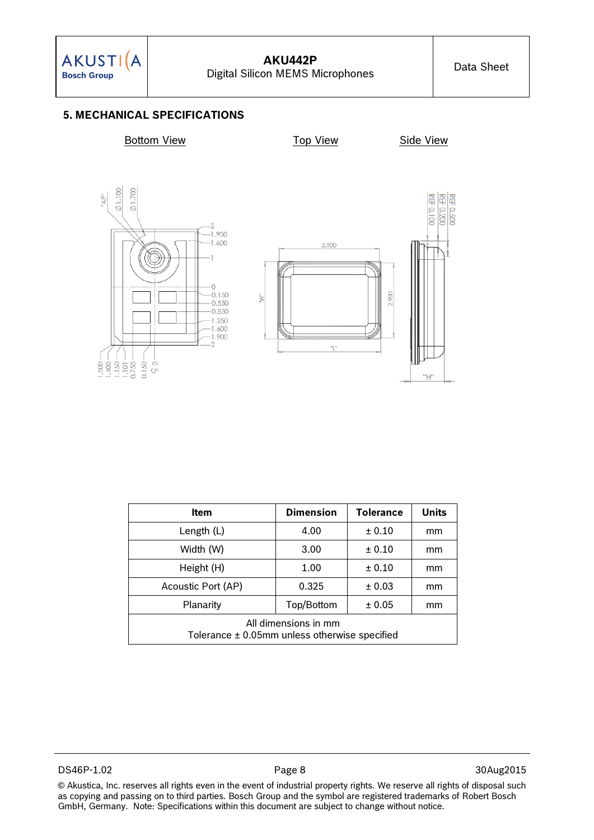## **5. MECHANICAL SPECIFICATIONS**

**Bottom View Top View Top View Side View** 



| <b>Item</b>                                                               | <b>Dimension</b> | <b>Tolerance</b> | <b>Units</b> |  |  |
|---------------------------------------------------------------------------|------------------|------------------|--------------|--|--|
| Length $(L)$                                                              | 4.00             | ± 0.10           | mm           |  |  |
| Width (W)                                                                 | 3.00             | ± 0.10           | mm           |  |  |
| Height (H)                                                                | 1.00             | ± 0.10           | mm           |  |  |
| Acoustic Port (AP)                                                        | 0.325            | ± 0.03           | mm           |  |  |
| Top/Bottom<br>Planarity<br>± 0.05<br>mm                                   |                  |                  |              |  |  |
| All dimensions in mm<br>Tolerance $\pm$ 0.05mm unless otherwise specified |                  |                  |              |  |  |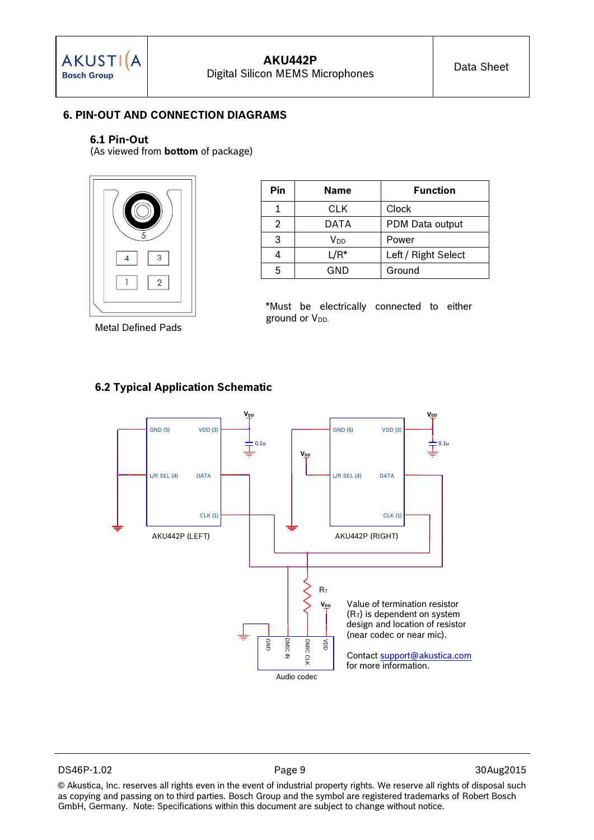

## **6. PIN-OUT AND CONNECTION DIAGRAMS**

#### **6.1 Pin-Out**

(As viewed from **bottom** of package)



**Pin Name Function** 1 CLK Clock 2 | DATA | PDM Data output 3 V<sub>DD</sub> Power 4 | L/R<sup>\*</sup> | Left / Right Select 5 GND Ground

\*Must be electrically connected to either ground or V<sub>DD.</sub>

| <b>Metal Defined Pads</b> |  |  |
|---------------------------|--|--|
|---------------------------|--|--|



### **6.2 Typical Application Schematic**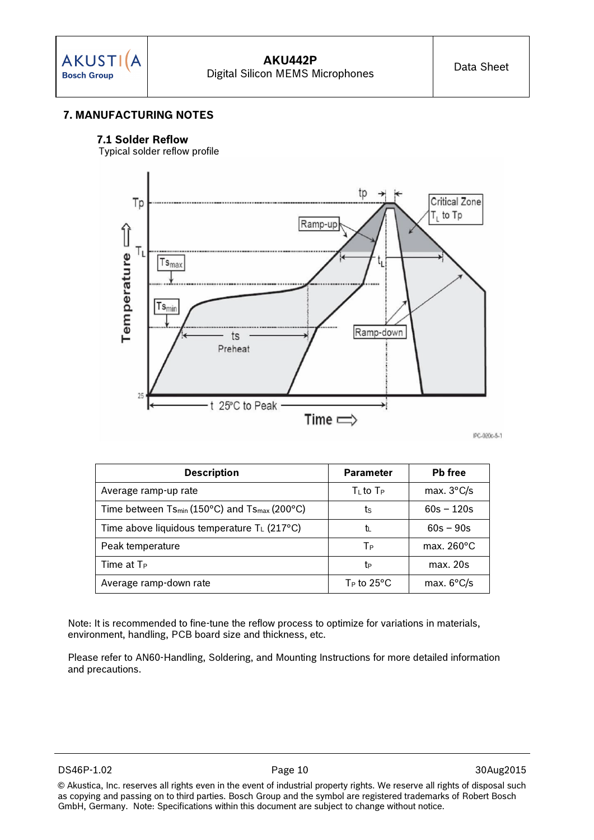## **7. MANUFACTURING NOTES**

#### **7.1 Solder Reflow**

Typical solder reflow profile



IPC-020c-5-1

| <b>Description</b>                                                   | <b>Parameter</b>        | <b>Pb</b> free       |
|----------------------------------------------------------------------|-------------------------|----------------------|
| Average ramp-up rate                                                 | $T_{L}$ to $T_{P}$      | max. $3^{\circ}$ C/s |
| Time between Ts <sub>min</sub> (150°C) and Ts <sub>max</sub> (200°C) | ts                      | $60s - 120s$         |
| Time above liquidous temperature $T_L$ (217 °C)                      | tı                      | $60s - 90s$          |
| Peak temperature                                                     | Tр                      | max. $260^{\circ}$ C |
| Time at $Tr$                                                         | te                      | max. 20s             |
| Average ramp-down rate                                               | $T_P$ to $25^{\circ}$ C | max. $6^{\circ}$ C/s |

Note: It is recommended to fine-tune the reflow process to optimize for variations in materials, environment, handling, PCB board size and thickness, etc.

Please refer to AN60-Handling, Soldering, and Mounting Instructions for more detailed information and precautions.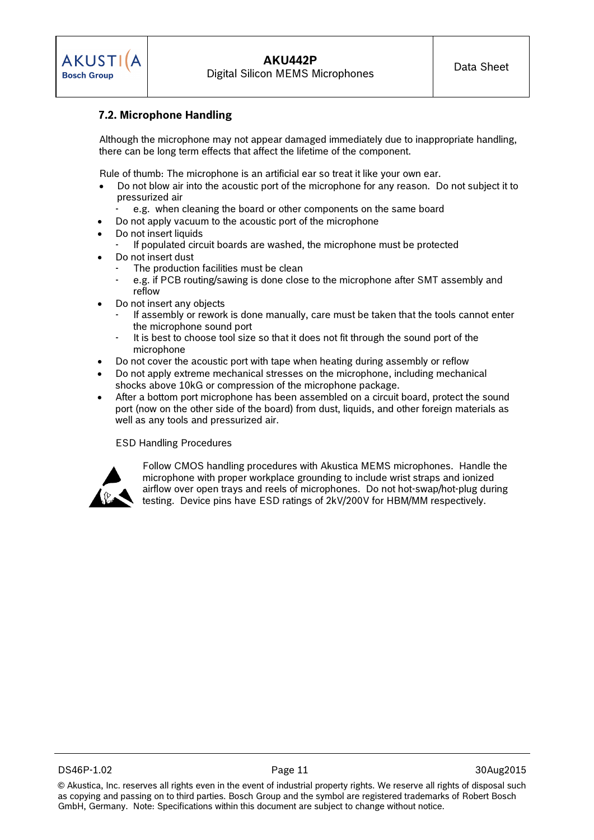## **7.2. Microphone Handling**

Although the microphone may not appear damaged immediately due to inappropriate handling, there can be long term effects that affect the lifetime of the component.

Rule of thumb: The microphone is an artificial ear so treat it like your own ear.

- Do not blow air into the acoustic port of the microphone for any reason. Do not subject it to pressurized air
- e.g. when cleaning the board or other components on the same board
- Do not apply vacuum to the acoustic port of the microphone
- Do not insert liquids
	- If populated circuit boards are washed, the microphone must be protected
- Do not insert dust
	- The production facilities must be clean
	- e.g. if PCB routing/sawing is done close to the microphone after SMT assembly and reflow
- Do not insert any objects
	- If assembly or rework is done manually, care must be taken that the tools cannot enter the microphone sound port
	- It is best to choose tool size so that it does not fit through the sound port of the microphone
- Do not cover the acoustic port with tape when heating during assembly or reflow
- Do not apply extreme mechanical stresses on the microphone, including mechanical shocks above 10kG or compression of the microphone package.
- After a bottom port microphone has been assembled on a circuit board, protect the sound port (now on the other side of the board) from dust, liquids, and other foreign materials as well as any tools and pressurized air.

ESD Handling Procedures



Follow CMOS handling procedures with Akustica MEMS microphones. Handle the microphone with proper workplace grounding to include wrist straps and ionized airflow over open trays and reels of microphones. Do not hot-swap/hot-plug during testing. Device pins have ESD ratings of 2kV/200V for HBM/MM respectively.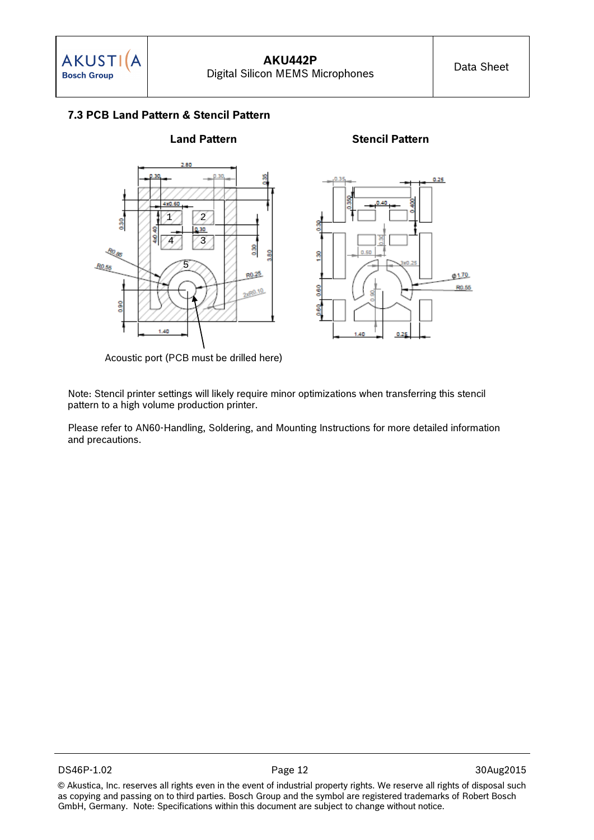## **7.3 PCB Land Pattern & Stencil Pattern**



Acoustic port (PCB must be drilled here)

Note: Stencil printer settings will likely require minor optimizations when transferring this stencil pattern to a high volume production printer.

Please refer to AN60-Handling, Soldering, and Mounting Instructions for more detailed information and precautions.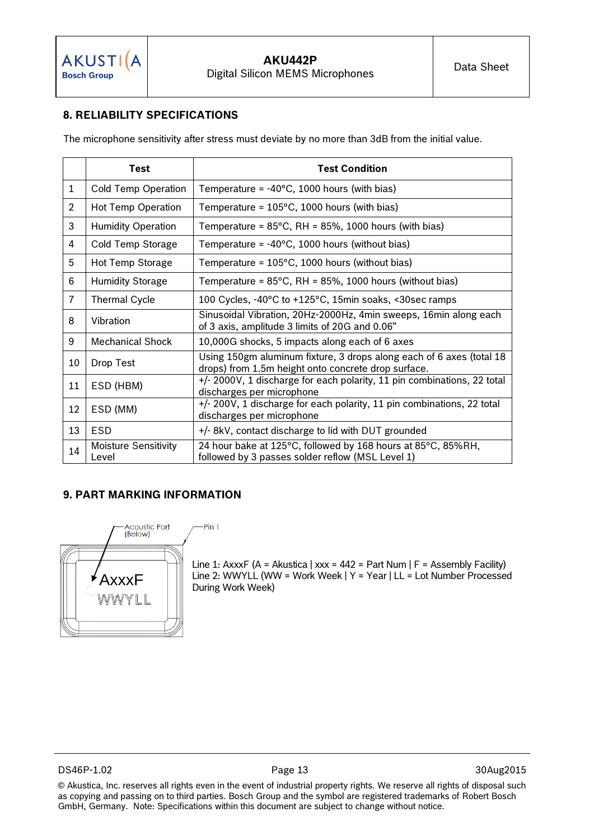## **8. RELIABILITY SPECIFICATIONS**

The microphone sensitivity after stress must deviate by no more than 3dB from the initial value.

|                | Test                                 | <b>Test Condition</b>                                                                                                       |
|----------------|--------------------------------------|-----------------------------------------------------------------------------------------------------------------------------|
| 1              | <b>Cold Temp Operation</b>           | Temperature = $-40^{\circ}$ C, 1000 hours (with bias)                                                                       |
| $\overline{2}$ | Hot Temp Operation                   | Temperature = $105^{\circ}$ C, 1000 hours (with bias)                                                                       |
| 3              | <b>Humidity Operation</b>            | Temperature = $85^{\circ}$ C, RH = $85\%$ , 1000 hours (with bias)                                                          |
| 4              | Cold Temp Storage                    | Temperature = $-40^{\circ}$ C, 1000 hours (without bias)                                                                    |
| 5              | Hot Temp Storage                     | Temperature = $105^{\circ}$ C, 1000 hours (without bias)                                                                    |
| 6              | <b>Humidity Storage</b>              | Temperature = $85^{\circ}$ C, RH = $85\%$ , 1000 hours (without bias)                                                       |
| $\overline{7}$ | <b>Thermal Cycle</b>                 | 100 Cycles, -40°C to +125°C, 15min soaks, <30sec ramps                                                                      |
| 8              | Vibration                            | Sinusoidal Vibration, 20Hz-2000Hz, 4min sweeps, 16min along each<br>of 3 axis, amplitude 3 limits of 20G and 0.06"          |
| 9              | <b>Mechanical Shock</b>              | 10,000G shocks, 5 impacts along each of 6 axes                                                                              |
| 10             | Drop Test                            | Using 150gm aluminum fixture, 3 drops along each of 6 axes (total 18<br>drops) from 1.5m height onto concrete drop surface. |
| 11             | ESD (HBM)                            | +/- 2000V, 1 discharge for each polarity, 11 pin combinations, 22 total<br>discharges per microphone                        |
| 12             | ESD (MM)                             | +/- 200V, 1 discharge for each polarity, 11 pin combinations, 22 total<br>discharges per microphone                         |
| 13             | <b>ESD</b>                           | +/- 8kV, contact discharge to lid with DUT grounded                                                                         |
| 14             | <b>Moisture Sensitivity</b><br>Level | 24 hour bake at 125°C, followed by 168 hours at 85°C, 85%RH,<br>followed by 3 passes solder reflow (MSL Level 1)            |

#### **9. PART MARKING INFORMATION**



-Pin 1

Line 1: AxxxF (A = Akustica | xxx = 442 = Part Num | F = Assembly Facility)  $\begin{array}{r} \begin{array}{c} \begin{array}{c} \end{array} \begin{array}{c} \end{array} & \begin{array}{c} \end{array} \begin{array}{c} \end{array} \begin{array}{c} \end{array} \begin{array}{c} \end{array} & \begin{array}{c} \end{array} & \begin{array}{c} \end{array} & \begin{array}{c} \end{array} & \begin{array}{c} \end{array} & \begin{array}{c} \end{array} & \begin{array}{c} \end{array} & \begin{array}{c} \end{array} & \begin{array}{c} \end{array} & \begin{array}{c} \end{array} & \begin{array}{c} \end{array} & \begin$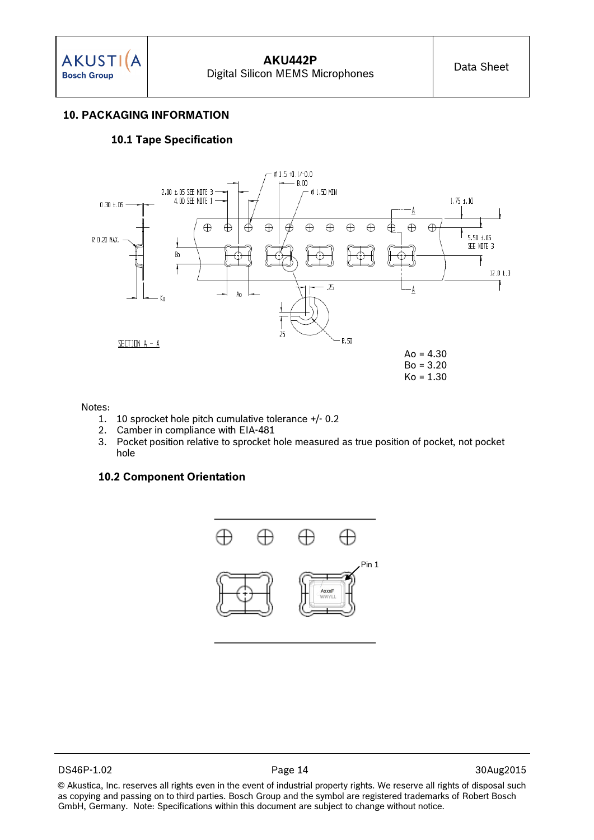#### **10. PACKAGING INFORMATION**

#### **10.1 Tape Specification**



#### Notes:

- 1. 10 sprocket hole pitch cumulative tolerance +/- 0.2<br>2. Camber in compliance with EIA-481
- 2. Camber in compliance with EIA-481
- 3. Pocket position relative to sprocket hole measured as true position of pocket, not pocket hole

#### **10.2 Component Orientation**

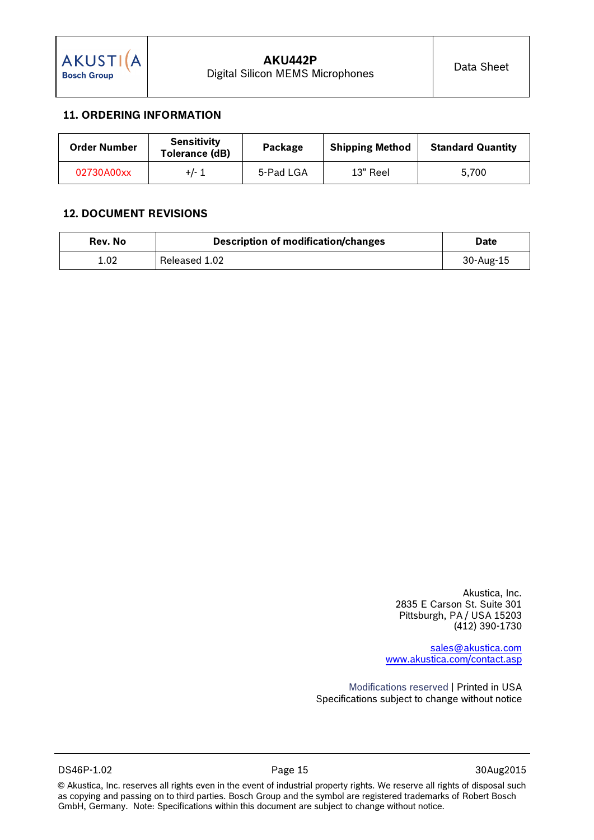## **11. ORDERING INFORMATION**

| <b>Order Number</b> | <b>Sensitivity</b><br>Tolerance (dB) | Package   | <b>Shipping Method</b> | <b>Standard Quantity</b> |
|---------------------|--------------------------------------|-----------|------------------------|--------------------------|
| 02730A00xx          | $+/-1$                               | 5-Pad LGA | 13" Reel               | 5.700                    |

### **12. DOCUMENT REVISIONS**

| Rev. No | <b>Description of modification/changes</b> | <b>Date</b> |
|---------|--------------------------------------------|-------------|
| 1.02    | Released 1.02                              | 30-Aug-15   |

Akustica, Inc. 2835 E Carson St. Suite 301 Pittsburgh, PA / USA 15203 (412) 390-1730

[sales@akustica.com](mailto:sales@akustica.com) [www.akustica.com/contact.asp](http://www.akustica.com/contact.asp)

Modifications reserved | Printed in USA Specifications subject to change without notice

DS46P-1.02 Page 15 Page 15 30Aug2015